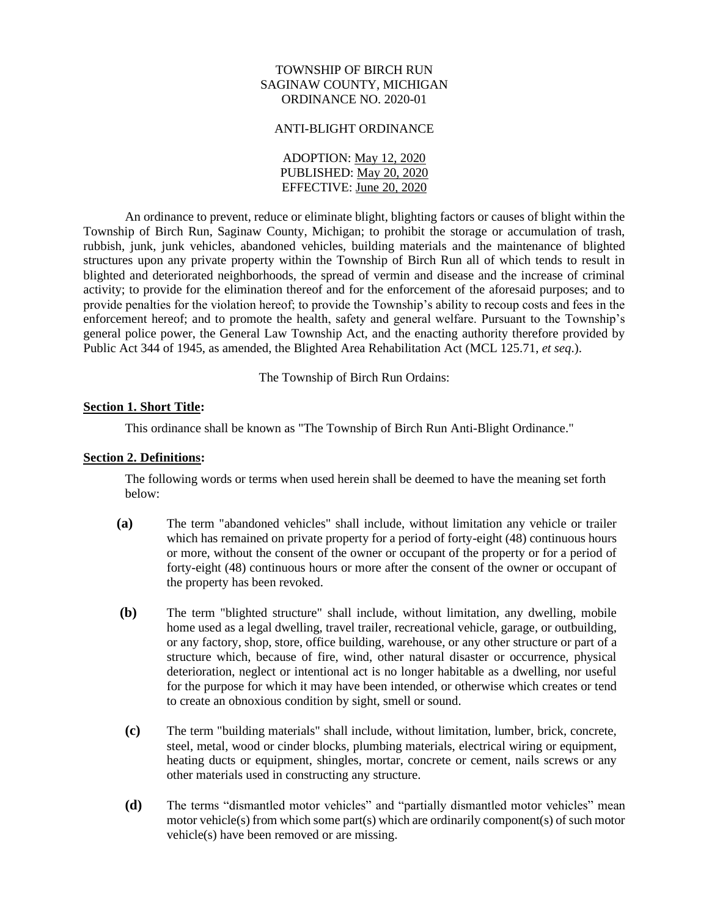# TOWNSHIP OF BIRCH RUN SAGINAW COUNTY, MICHIGAN ORDINANCE NO. 2020-01

#### ANTI-BLIGHT ORDINANCE

ADOPTION: May 12, 2020 PUBLISHED: May 20, 2020 EFFECTIVE: June 20, 2020

An ordinance to prevent, reduce or eliminate blight, blighting factors or causes of blight within the Township of Birch Run, Saginaw County, Michigan; to prohibit the storage or accumulation of trash, rubbish, junk, junk vehicles, abandoned vehicles, building materials and the maintenance of blighted structures upon any private property within the Township of Birch Run all of which tends to result in blighted and deteriorated neighborhoods, the spread of vermin and disease and the increase of criminal activity; to provide for the elimination thereof and for the enforcement of the aforesaid purposes; and to provide penalties for the violation hereof; to provide the Township's ability to recoup costs and fees in the enforcement hereof; and to promote the health, safety and general welfare. Pursuant to the Township's general police power, the General Law Township Act, and the enacting authority therefore provided by Public Act 344 of 1945, as amended, the [Blighted Area Rehabilitation Act](http://www.legislature.mi.gov/(S(uirynqnnjvidrwrvwfnfabql))/mileg.aspx?page=getObject&objectName=mcl-Act-344-of-1945) (MCL 125.71, *et seq*.).

The Township of Birch Run Ordains:

# **Section 1. Short Title:**

This ordinance shall be known as "The Township of Birch Run Anti-Blight Ordinance."

### **Section 2. Definitions:**

The following words or terms when used herein shall be deemed to have the meaning set forth below:

- **(a)** The term "abandoned vehicles" shall include, without limitation any vehicle or trailer which has remained on private property for a period of forty-eight (48) continuous hours or more, without the consent of the owner or occupant of the property or for a period of forty-eight (48) continuous hours or more after the consent of the owner or occupant of the property has been revoked.
- **(b)** The term "blighted structure" shall include, without limitation, any dwelling, mobile home used as a legal dwelling, travel trailer, recreational vehicle, garage, or outbuilding, or any factory, shop, store, office building, warehouse, or any other structure or part of a structure which, because of fire, wind, other natural disaster or occurrence, physical deterioration, neglect or intentional act is no longer habitable as a dwelling, nor useful for the purpose for which it may have been intended, or otherwise which creates or tend to create an obnoxious condition by sight, smell or sound.
- **(c)** The term "building materials" shall include, without limitation, lumber, brick, concrete, steel, metal, wood or cinder blocks, plumbing materials, electrical wiring or equipment, heating ducts or equipment, shingles, mortar, concrete or cement, nails screws or any other materials used in constructing any structure.
- **(d)** The terms "dismantled motor vehicles" and "partially dismantled motor vehicles" mean motor vehicle(s) from which some part(s) which are ordinarily component(s) of such motor vehicle(s) have been removed or are missing.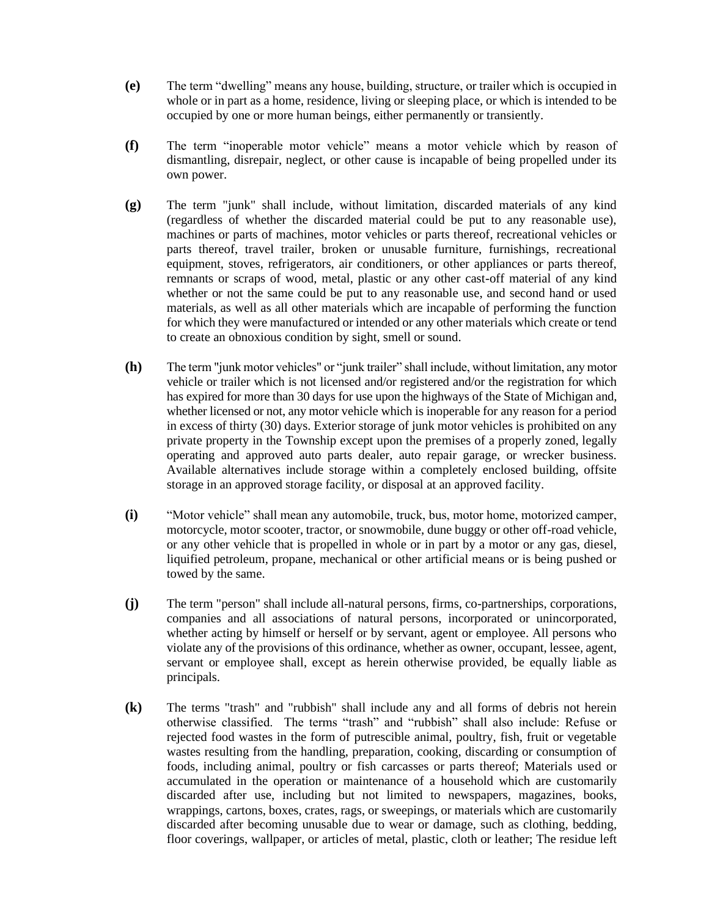- **(e)** The term "dwelling" means any house, building, structure, or trailer which is occupied in whole or in part as a home, residence, living or sleeping place, or which is intended to be occupied by one or more human beings, either permanently or transiently.
- **(f)** The term "inoperable motor vehicle" means a motor vehicle which by reason of dismantling, disrepair, neglect, or other cause is incapable of being propelled under its own power.
- **(g)** The term "junk" shall include, without limitation, discarded materials of any kind (regardless of whether the discarded material could be put to any reasonable use), machines or parts of machines, motor vehicles or parts thereof, recreational vehicles or parts thereof, travel trailer, broken or unusable furniture, furnishings, recreational equipment, stoves, refrigerators, air conditioners, or other appliances or parts thereof, remnants or scraps of wood, metal, plastic or any other cast-off material of any kind whether or not the same could be put to any reasonable use, and second hand or used materials, as well as all other materials which are incapable of performing the function for which they were manufactured or intended or any other materials which create or tend to create an obnoxious condition by sight, smell or sound.
- **(h)** The term "junk motor vehicles" or "junk trailer" shall include, without limitation, any motor vehicle or trailer which is not licensed and/or registered and/or the registration for which has expired for more than 30 days for use upon the highways of the State of Michigan and, whether licensed or not, any motor vehicle which is inoperable for any reason for a period in excess of thirty (30) days. Exterior storage of junk motor vehicles is prohibited on any private property in the Township except upon the premises of a properly zoned, legally operating and approved auto parts dealer, auto repair garage, or wrecker business. Available alternatives include storage within a completely enclosed building, offsite storage in an approved storage facility, or disposal at an approved facility.
- **(i)** "Motor vehicle" shall mean any automobile, truck, bus, motor home, motorized camper, motorcycle, motor scooter, tractor, or snowmobile, dune buggy or other off-road vehicle, or any other vehicle that is propelled in whole or in part by a motor or any gas, diesel, liquified petroleum, propane, mechanical or other artificial means or is being pushed or towed by the same.
- **(j)** The term "person" shall include all-natural persons, firms, co-partnerships, corporations, companies and all associations of natural persons, incorporated or unincorporated, whether acting by himself or herself or by servant, agent or employee. All persons who violate any of the provisions of this ordinance, whether as owner, occupant, lessee, agent, servant or employee shall, except as herein otherwise provided, be equally liable as principals.
- **(k)** The terms "trash" and "rubbish" shall include any and all forms of debris not herein otherwise classified. The terms "trash" and "rubbish" shall also include: Refuse or rejected food wastes in the form of putrescible animal, poultry, fish, fruit or vegetable wastes resulting from the handling, preparation, cooking, discarding or consumption of foods, including animal, poultry or fish carcasses or parts thereof; Materials used or accumulated in the operation or maintenance of a household which are customarily discarded after use, including but not limited to newspapers, magazines, books, wrappings, cartons, boxes, crates, rags, or sweepings, or materials which are customarily discarded after becoming unusable due to wear or damage, such as clothing, bedding, floor coverings, wallpaper, or articles of metal, plastic, cloth or leather; The residue left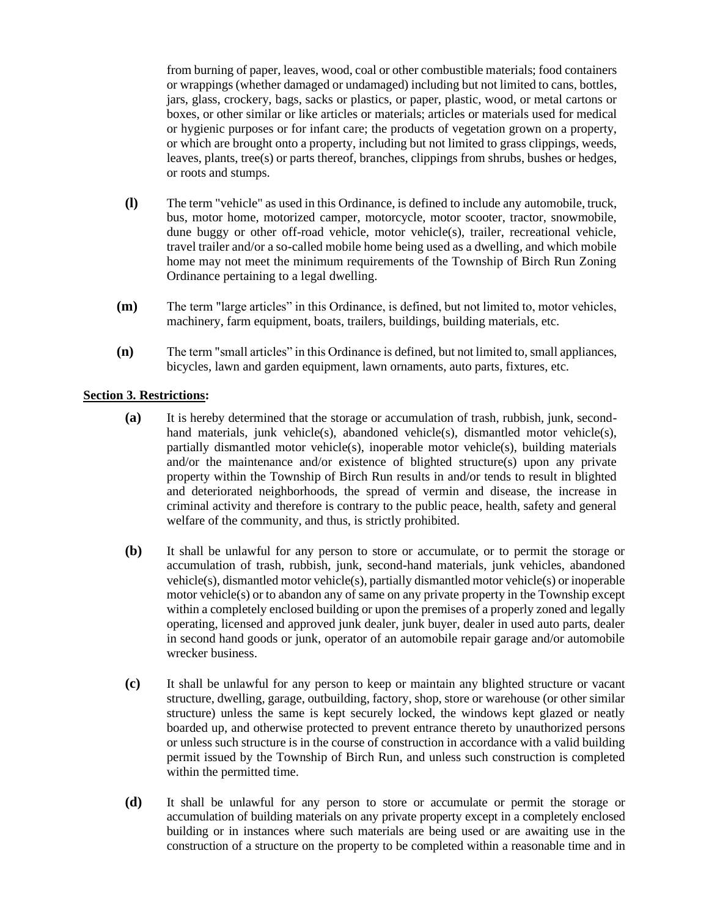from burning of paper, leaves, wood, coal or other combustible materials; food containers or wrappings (whether damaged or undamaged) including but not limited to cans, bottles, jars, glass, crockery, bags, sacks or plastics, or paper, plastic, wood, or metal cartons or boxes, or other similar or like articles or materials; articles or materials used for medical or hygienic purposes or for infant care; the products of vegetation grown on a property, or which are brought onto a property, including but not limited to grass clippings, weeds, leaves, plants, tree(s) or parts thereof, branches, clippings from shrubs, bushes or hedges, or roots and stumps.

- **(l)** The term "vehicle" as used in this Ordinance, is defined to include any automobile, truck, bus, motor home, motorized camper, motorcycle, motor scooter, tractor, snowmobile, dune buggy or other off-road vehicle, motor vehicle(s), trailer, recreational vehicle, travel trailer and/or a so-called mobile home being used as a dwelling, and which mobile home may not meet the minimum requirements of the Township of Birch Run Zoning Ordinance pertaining to a legal dwelling.
- **(m)** The term "large articles" in this Ordinance, is defined, but not limited to, motor vehicles, machinery, farm equipment, boats, trailers, buildings, building materials, etc.
- **(n)** The term "small articles" in this Ordinance is defined, but not limited to, small appliances, bicycles, lawn and garden equipment, lawn ornaments, auto parts, fixtures, etc.

# **Section 3. Restrictions:**

- **(a)** It is hereby determined that the storage or accumulation of trash, rubbish, junk, secondhand materials, junk vehicle(s), abandoned vehicle(s), dismantled motor vehicle(s), partially dismantled motor vehicle(s), inoperable motor vehicle(s), building materials and/or the maintenance and/or existence of blighted structure(s) upon any private property within the Township of Birch Run results in and/or tends to result in blighted and deteriorated neighborhoods, the spread of vermin and disease, the increase in criminal activity and therefore is contrary to the public peace, health, safety and general welfare of the community, and thus, is strictly prohibited.
- **(b)** It shall be unlawful for any person to store or accumulate, or to permit the storage or accumulation of trash, rubbish, junk, second-hand materials, junk vehicles, abandoned vehicle(s), dismantled motor vehicle(s), partially dismantled motor vehicle(s) or inoperable motor vehicle(s) or to abandon any of same on any private property in the Township except within a completely enclosed building or upon the premises of a properly zoned and legally operating, licensed and approved junk dealer, junk buyer, dealer in used auto parts, dealer in second hand goods or junk, operator of an automobile repair garage and/or automobile wrecker business.
- **(c)** It shall be unlawful for any person to keep or maintain any blighted structure or vacant structure, dwelling, garage, outbuilding, factory, shop, store or warehouse (or other similar structure) unless the same is kept securely locked, the windows kept glazed or neatly boarded up, and otherwise protected to prevent entrance thereto by unauthorized persons or unless such structure is in the course of construction in accordance with a valid building permit issued by the Township of Birch Run, and unless such construction is completed within the permitted time.
- **(d)** It shall be unlawful for any person to store or accumulate or permit the storage or accumulation of building materials on any private property except in a completely enclosed building or in instances where such materials are being used or are awaiting use in the construction of a structure on the property to be completed within a reasonable time and in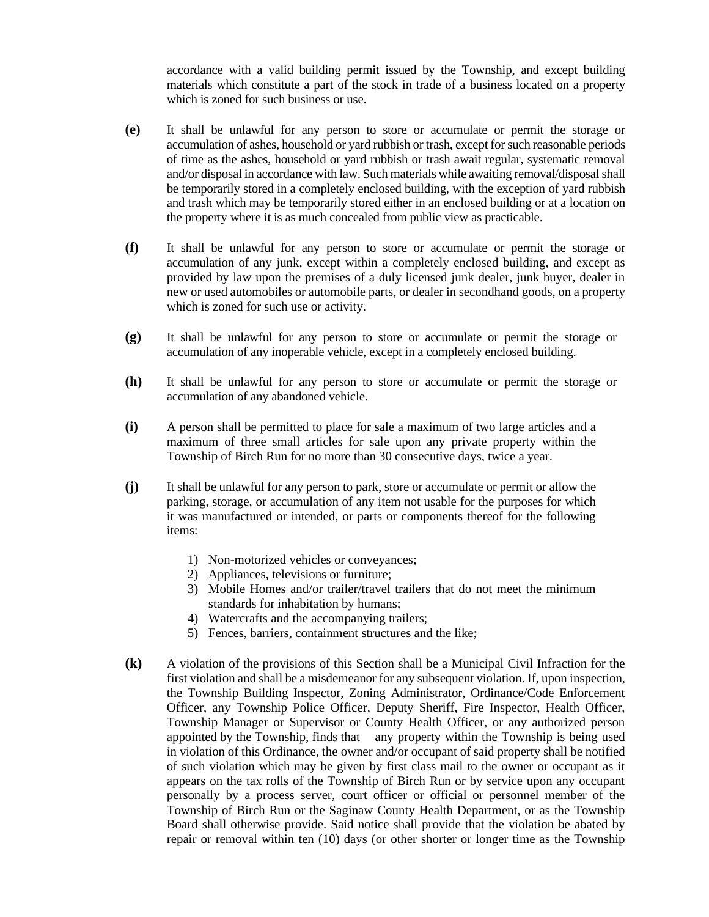accordance with a valid building permit issued by the Township, and except building materials which constitute a part of the stock in trade of a business located on a property which is zoned for such business or use.

- **(e)** It shall be unlawful for any person to store or accumulate or permit the storage or accumulation of ashes, household or yard rubbish or trash, except for such reasonable periods of time as the ashes, household or yard rubbish or trash await regular, systematic removal and/or disposal in accordance with law. Such materials while awaiting removal/disposalshall be temporarily stored in a completely enclosed building, with the exception of yard rubbish and trash which may be temporarily stored either in an enclosed building or at a location on the property where it is as much concealed from public view as practicable.
- **(f)** It shall be unlawful for any person to store or accumulate or permit the storage or accumulation of any junk, except within a completely enclosed building, and except as provided by law upon the premises of a duly licensed junk dealer, junk buyer, dealer in new or used automobiles or automobile parts, or dealer in secondhand goods, on a property which is zoned for such use or activity.
- **(g)** It shall be unlawful for any person to store or accumulate or permit the storage or accumulation of any inoperable vehicle, except in a completely enclosed building.
- **(h)** It shall be unlawful for any person to store or accumulate or permit the storage or accumulation of any abandoned vehicle.
- **(i)** A person shall be permitted to place for sale a maximum of two large articles and a maximum of three small articles for sale upon any private property within the Township of Birch Run for no more than 30 consecutive days, twice a year.
- **(j)** It shall be unlawful for any person to park, store or accumulate or permit or allow the parking, storage, or accumulation of any item not usable for the purposes for which it was manufactured or intended, or parts or components thereof for the following items:
	- 1) Non-motorized vehicles or conveyances;
	- 2) Appliances, televisions or furniture;
	- 3) Mobile Homes and/or trailer/travel trailers that do not meet the minimum standards for inhabitation by humans;
	- 4) Watercrafts and the accompanying trailers;
	- 5) Fences, barriers, containment structures and the like;
- **(k)** A violation of the provisions of this Section shall be a Municipal Civil Infraction for the first violation and shall be a misdemeanor for any subsequent violation. If, upon inspection, the Township Building Inspector, Zoning Administrator, Ordinance/Code Enforcement Officer, any Township Police Officer, Deputy Sheriff, Fire Inspector, Health Officer, Township Manager or Supervisor or County Health Officer, or any authorized person appointed by the Township, finds that any property within the Township is being used in violation of this Ordinance, the owner and/or occupant of said property shall be notified of such violation which may be given by first class mail to the owner or occupant as it appears on the tax rolls of the Township of Birch Run or by service upon any occupant personally by a process server, court officer or official or personnel member of the Township of Birch Run or the Saginaw County Health Department, or as the Township Board shall otherwise provide. Said notice shall provide that the violation be abated by repair or removal within ten (10) days (or other shorter or longer time as the Township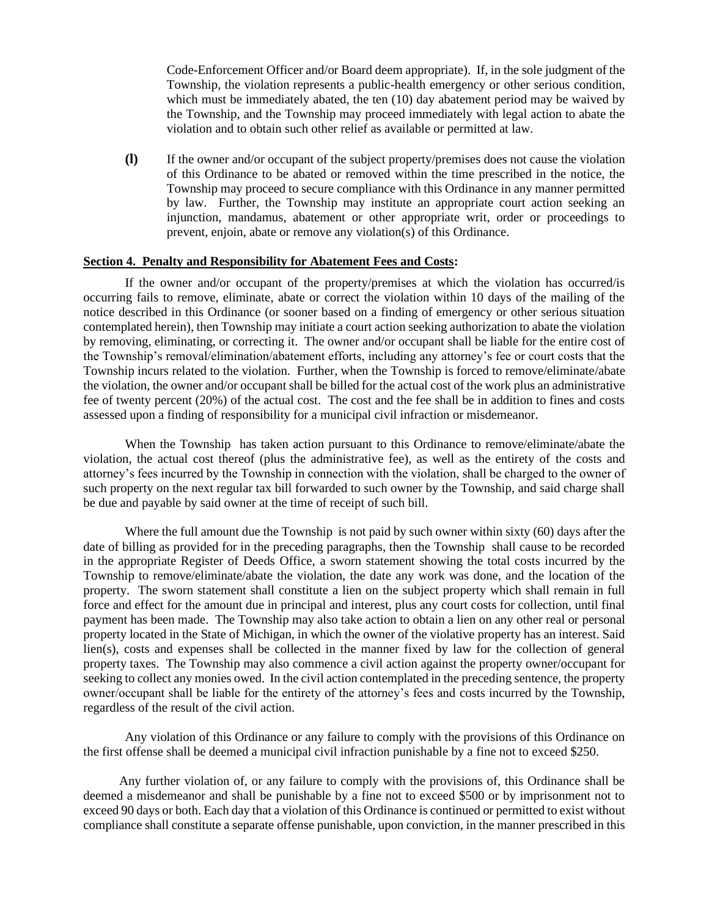Code-Enforcement Officer and/or Board deem appropriate). If, in the sole judgment of the Township, the violation represents a public-health emergency or other serious condition, which must be immediately abated, the ten (10) day abatement period may be waived by the Township, and the Township may proceed immediately with legal action to abate the violation and to obtain such other relief as available or permitted at law.

**(l)** If the owner and/or occupant of the subject property/premises does not cause the violation of this Ordinance to be abated or removed within the time prescribed in the notice, the Township may proceed to secure compliance with this Ordinance in any manner permitted by law. Further, the Township may institute an appropriate court action seeking an injunction, mandamus, abatement or other appropriate writ, order or proceedings to prevent, enjoin, abate or remove any violation(s) of this Ordinance.

# **Section 4. Penalty and Responsibility for Abatement Fees and Costs:**

If the owner and/or occupant of the property/premises at which the violation has occurred/is occurring fails to remove, eliminate, abate or correct the violation within 10 days of the mailing of the notice described in this Ordinance (or sooner based on a finding of emergency or other serious situation contemplated herein), then Township may initiate a court action seeking authorization to abate the violation by removing, eliminating, or correcting it. The owner and/or occupant shall be liable for the entire cost of the Township's removal/elimination/abatement efforts, including any attorney's fee or court costs that the Township incurs related to the violation. Further, when the Township is forced to remove/eliminate/abate the violation, the owner and/or occupant shall be billed for the actual cost of the work plus an administrative fee of twenty percent (20%) of the actual cost. The cost and the fee shall be in addition to fines and costs assessed upon a finding of responsibility for a municipal civil infraction or misdemeanor.

When the Township has taken action pursuant to this Ordinance to remove/eliminate/abate the violation, the actual cost thereof (plus the administrative fee), as well as the entirety of the costs and attorney's fees incurred by the Township in connection with the violation, shall be charged to the owner of such property on the next regular tax bill forwarded to such owner by the Township, and said charge shall be due and payable by said owner at the time of receipt of such bill.

Where the full amount due the Township is not paid by such owner within sixty (60) days after the date of billing as provided for in the preceding paragraphs, then the Township shall cause to be recorded in the appropriate Register of Deeds Office, a sworn statement showing the total costs incurred by the Township to remove/eliminate/abate the violation, the date any work was done, and the location of the property. The sworn statement shall constitute a lien on the subject property which shall remain in full force and effect for the amount due in principal and interest, plus any court costs for collection, until final payment has been made. The Township may also take action to obtain a lien on any other real or personal property located in the State of Michigan, in which the owner of the violative property has an interest. Said lien(s), costs and expenses shall be collected in the manner fixed by law for the collection of general property taxes. The Township may also commence a civil action against the property owner/occupant for seeking to collect any monies owed. In the civil action contemplated in the preceding sentence, the property owner/occupant shall be liable for the entirety of the attorney's fees and costs incurred by the Township, regardless of the result of the civil action.

Any violation of this Ordinance or any failure to comply with the provisions of this Ordinance on the first offense shall be deemed a municipal civil infraction punishable by a fine not to exceed \$250.

 Any further violation of, or any failure to comply with the provisions of, this Ordinance shall be deemed a misdemeanor and shall be punishable by a fine not to exceed \$500 or by imprisonment not to exceed 90 days or both. Each day that a violation of this Ordinance is continued or permitted to exist without compliance shall constitute a separate offense punishable, upon conviction, in the manner prescribed in this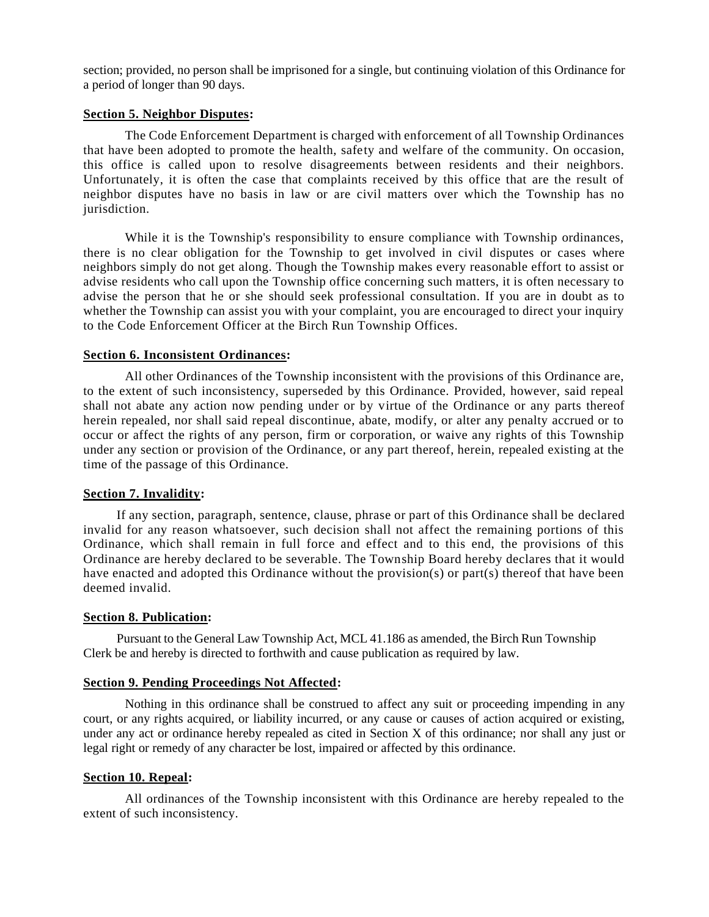section; provided, no person shall be imprisoned for a single, but continuing violation of this Ordinance for a period of longer than 90 days.

## **Section 5. Neighbor Disputes:**

The Code Enforcement Department is charged with enforcement of all Township Ordinances that have been adopted to promote the health, safety and welfare of the community. On occasion, this office is called upon to resolve disagreements between residents and their neighbors. Unfortunately, it is often the case that complaints received by this office that are the result of neighbor disputes have no basis in law or are civil matters over which the Township has no jurisdiction.

While it is the Township's responsibility to ensure compliance with Township ordinances, there is no clear obligation for the Township to get involved in civil disputes or cases where neighbors simply do not get along. Though the Township makes every reasonable effort to assist or advise residents who call upon the Township office concerning such matters, it is often necessary to advise the person that he or she should seek professional consultation. If you are in doubt as to whether the Township can assist you with your complaint, you are encouraged to direct your inquiry to the Code Enforcement Officer at the Birch Run Township Offices.

#### **Section 6. Inconsistent Ordinances:**

All other Ordinances of the Township inconsistent with the provisions of this Ordinance are, to the extent of such inconsistency, superseded by this Ordinance. Provided, however, said repeal shall not abate any action now pending under or by virtue of the Ordinance or any parts thereof herein repealed, nor shall said repeal discontinue, abate, modify, or alter any penalty accrued or to occur or affect the rights of any person, firm or corporation, or waive any rights of this Township under any section or provision of the Ordinance, or any part thereof, herein, repealed existing at the time of the passage of this Ordinance.

### **Section 7. Invalidity:**

If any section, paragraph, sentence, clause, phrase or part of this Ordinance shall be declared invalid for any reason whatsoever, such decision shall not affect the remaining portions of this Ordinance, which shall remain in full force and effect and to this end, the provisions of this Ordinance are hereby declared to be severable. The Township Board hereby declares that it would have enacted and adopted this Ordinance without the provision(s) or part(s) thereof that have been deemed invalid.

#### **Section 8. Publication:**

Pursuant to the General Law Township Act, MCL 41.186 as amended, the Birch Run Township Clerk be and hereby is directed to forthwith and cause publication as required by law.

# **Section 9. Pending Proceedings Not Affected:**

Nothing in this ordinance shall be construed to affect any suit or proceeding impending in any court, or any rights acquired, or liability incurred, or any cause or causes of action acquired or existing, under any act or ordinance hereby repealed as cited in Section X of this ordinance; nor shall any just or legal right or remedy of any character be lost, impaired or affected by this ordinance.

### **Section 10. Repeal:**

All ordinances of the Township inconsistent with this Ordinance are hereby repealed to the extent of such inconsistency.